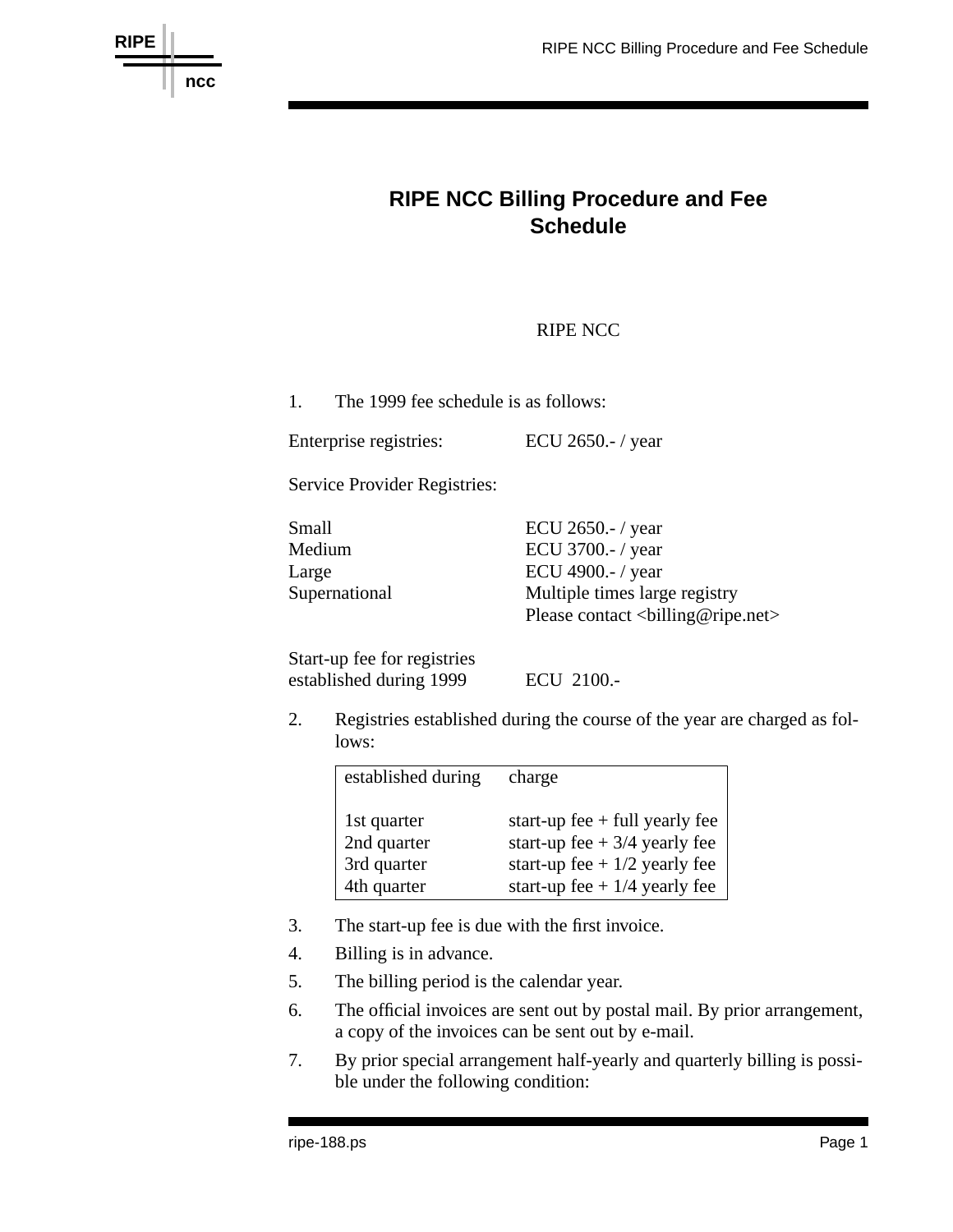

## **RIPE NCC Billing Procedure and Fee Schedule**

## RIPE NCC

1. The 1999 fee schedule is as follows:

Enterprise registries: ECU 2650.- / year

Service Provider Registries:

| Small         | ECU 2650.- $/$ year                     |
|---------------|-----------------------------------------|
| Medium        | ECU 3700.-/ year                        |
| Large         | ECU 4900.-/ year                        |
| Supernational | Multiple times large registry           |
|               | Please contact<br><br>billing@ripe.net> |

Start-up fee for registries established during 1999 ECU 2100.-

2. Registries established during the course of the year are charged as follows:

| established during | charge                           |
|--------------------|----------------------------------|
| 1st quarter        | start-up fee $+$ full yearly fee |
| 2nd quarter        | start-up fee $+3/4$ yearly fee   |
| 3rd quarter        | start-up fee + $1/2$ yearly fee  |
| 4th quarter        | start-up fee + $1/4$ yearly fee  |

- 3. The start-up fee is due with the first invoice.
- 4. Billing is in advance.
- 5. The billing period is the calendar year.
- 6. The official invoices are sent out by postal mail. By prior arrangement, a copy of the invoices can be sent out by e-mail.
- 7. By prior special arrangement half-yearly and quarterly billing is possible under the following condition: